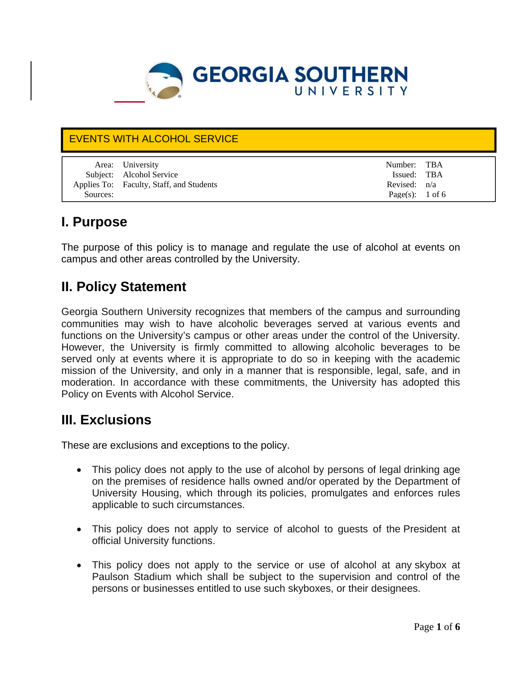

### EVENTS WITH ALCOHOL SERVICE

|          | Area: University                         | Number: TBA                |  |
|----------|------------------------------------------|----------------------------|--|
|          |                                          |                            |  |
|          | Subject: Alcohol Service                 | Issued: TBA                |  |
|          | Applies To: Faculty, Staff, and Students | Revised: $n/a$             |  |
| Sources: |                                          | Page(s): $1 \text{ of } 6$ |  |

### **I. Purpose**

The purpose of this policy is to manage and regulate the use of alcohol at events on campus and other areas controlled by the University.

### **II. Policy Statement**

Georgia Southern University recognizes that members of the campus and surrounding communities may wish to have alcoholic beverages served at various events and functions on the University's campus or other areas under the control of the University. However, the University is firmly committed to allowing alcoholic beverages to be served only at events where it is appropriate to do so in keeping with the academic mission of the University, and only in a manner that is responsible, legal, safe, and in moderation. In accordance with these commitments, the University has adopted this Policy on Events with Alcohol Service.

## **III. Exc**l**usions**

These are exclusions and exceptions to the policy.

- This policy does not apply to the use of alcohol by persons of legal drinking age on the premises of residence halls owned and/or operated by the Department of University Housing, which through its policies, promulgates and enforces rules applicable to such circumstances.
- This policy does not apply to service of alcohol to guests of the President at official University functions.
- This policy does not apply to the service or use of alcohol at any skybox at Paulson Stadium which shall be subject to the supervision and control of the persons or businesses entitled to use such skyboxes, or their designees.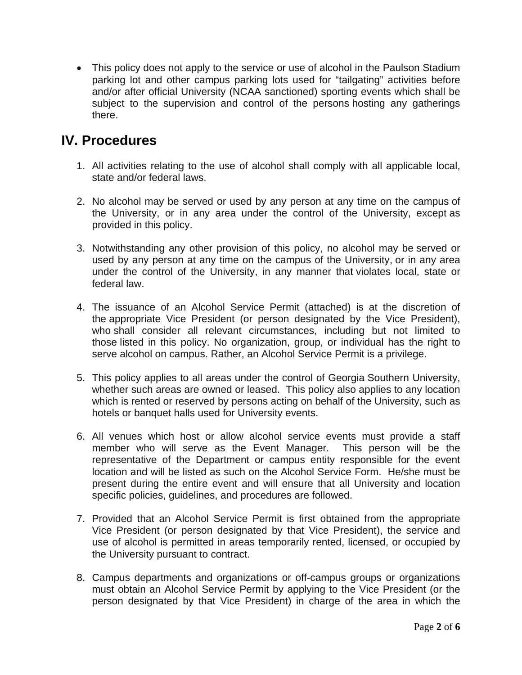• This policy does not apply to the service or use of alcohol in the Paulson Stadium parking lot and other campus parking lots used for "tailgating" activities before and/or after official University (NCAA sanctioned) sporting events which shall be subject to the supervision and control of the persons hosting any gatherings there.

### **IV. Procedures**

- 1. All activities relating to the use of alcohol shall comply with all applicable local, state and/or federal laws.
- 2. No alcohol may be served or used by any person at any time on the campus of the University, or in any area under the control of the University, except as provided in this policy.
- 3. Notwithstanding any other provision of this policy, no alcohol may be served or used by any person at any time on the campus of the University, or in any area under the control of the University, in any manner that violates local, state or federal law.
- 4. The issuance of an Alcohol Service Permit (attached) is at the discretion of the appropriate Vice President (or person designated by the Vice President), who shall consider all relevant circumstances, including but not limited to those listed in this policy. No organization, group, or individual has the right to serve alcohol on campus. Rather, an Alcohol Service Permit is a privilege.
- 5. This policy applies to all areas under the control of Georgia Southern University, whether such areas are owned or leased. This policy also applies to any location which is rented or reserved by persons acting on behalf of the University, such as hotels or banquet halls used for University events.
- 6. All venues which host or allow alcohol service events must provide a staff member who will serve as the Event Manager. This person will be the representative of the Department or campus entity responsible for the event location and will be listed as such on the Alcohol Service Form. He/she must be present during the entire event and will ensure that all University and location specific policies, guidelines, and procedures are followed.
- 7. Provided that an Alcohol Service Permit is first obtained from the appropriate Vice President (or person designated by that Vice President), the service and use of alcohol is permitted in areas temporarily rented, licensed, or occupied by the University pursuant to contract.
- 8. Campus departments and organizations or off-campus groups or organizations must obtain an Alcohol Service Permit by applying to the Vice President (or the person designated by that Vice President) in charge of the area in which the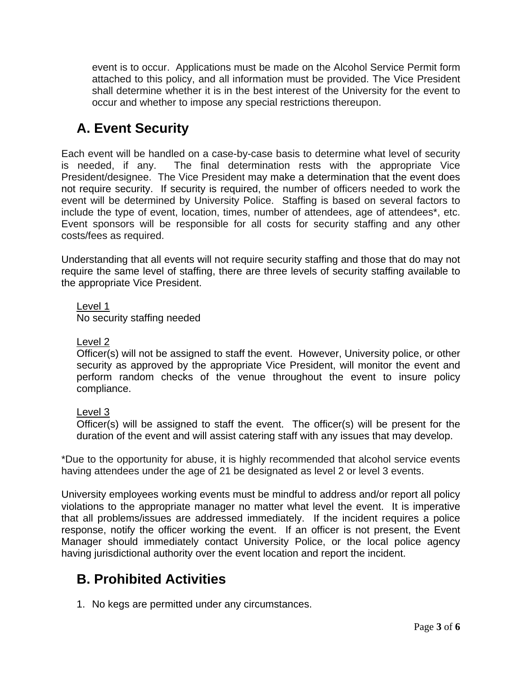event is to occur. Applications must be made on the Alcohol Service Permit form attached to this policy, and all information must be provided. The Vice President shall determine whether it is in the best interest of the University for the event to occur and whether to impose any special restrictions thereupon.

## **A. Event Security**

Each event will be handled on a case-by-case basis to determine what level of security is needed, if any. The final determination rests with the appropriate Vice President/designee. The Vice President may make a determination that the event does not require security. If security is required, the number of officers needed to work the event will be determined by University Police. Staffing is based on several factors to include the type of event, location, times, number of attendees, age of attendees\*, etc. Event sponsors will be responsible for all costs for security staffing and any other costs/fees as required.

Understanding that all events will not require security staffing and those that do may not require the same level of staffing, there are three levels of security staffing available to the appropriate Vice President.

Level 1 No security staffing needed

### Level 2

Officer(s) will not be assigned to staff the event. However, University police, or other security as approved by the appropriate Vice President, will monitor the event and perform random checks of the venue throughout the event to insure policy compliance.

#### Level 3

Officer(s) will be assigned to staff the event. The officer(s) will be present for the duration of the event and will assist catering staff with any issues that may develop.

\*Due to the opportunity for abuse, it is highly recommended that alcohol service events having attendees under the age of 21 be designated as level 2 or level 3 events.

University employees working events must be mindful to address and/or report all policy violations to the appropriate manager no matter what level the event. It is imperative that all problems/issues are addressed immediately. If the incident requires a police response, notify the officer working the event. If an officer is not present, the Event Manager should immediately contact University Police, or the local police agency having jurisdictional authority over the event location and report the incident.

# **B. Prohibited Activities**

1. No kegs are permitted under any circumstances.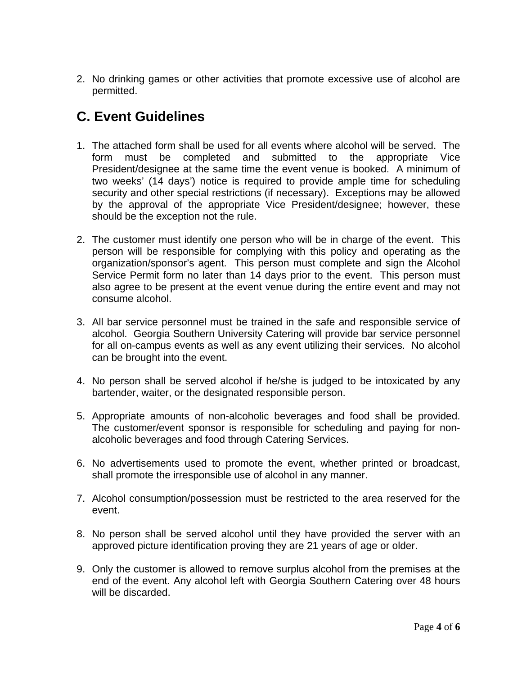2. No drinking games or other activities that promote excessive use of alcohol are permitted.

## **C. Event Guidelines**

- 1. The attached form shall be used for all events where alcohol will be served. The form must be completed and submitted to the appropriate Vice President/designee at the same time the event venue is booked. A minimum of two weeks' (14 days') notice is required to provide ample time for scheduling security and other special restrictions (if necessary). Exceptions may be allowed by the approval of the appropriate Vice President/designee; however, these should be the exception not the rule.
- 2. The customer must identify one person who will be in charge of the event. This person will be responsible for complying with this policy and operating as the organization/sponsor's agent. This person must complete and sign the Alcohol Service Permit form no later than 14 days prior to the event. This person must also agree to be present at the event venue during the entire event and may not consume alcohol.
- 3. All bar service personnel must be trained in the safe and responsible service of alcohol. Georgia Southern University Catering will provide bar service personnel for all on-campus events as well as any event utilizing their services. No alcohol can be brought into the event.
- 4. No person shall be served alcohol if he/she is judged to be intoxicated by any bartender, waiter, or the designated responsible person.
- 5. Appropriate amounts of non-alcoholic beverages and food shall be provided. The customer/event sponsor is responsible for scheduling and paying for nonalcoholic beverages and food through Catering Services.
- 6. No advertisements used to promote the event, whether printed or broadcast, shall promote the irresponsible use of alcohol in any manner.
- 7. Alcohol consumption/possession must be restricted to the area reserved for the event.
- 8. No person shall be served alcohol until they have provided the server with an approved picture identification proving they are 21 years of age or older.
- 9. Only the customer is allowed to remove surplus alcohol from the premises at the end of the event. Any alcohol left with Georgia Southern Catering over 48 hours will be discarded.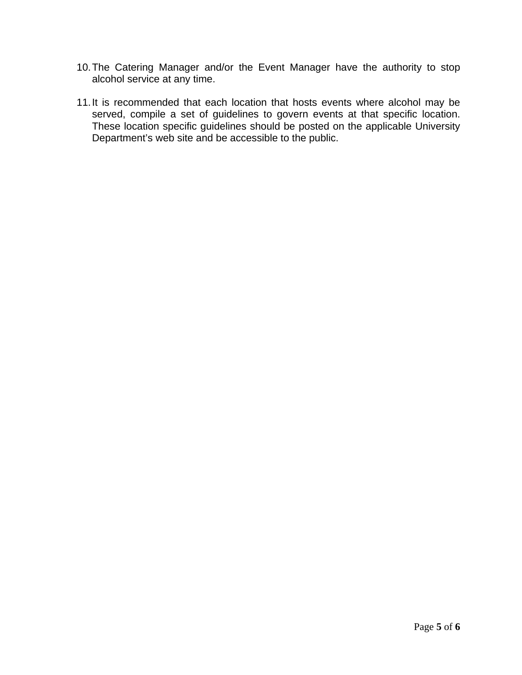- 10. The Catering Manager and/or the Event Manager have the authority to stop alcohol service at any time.
- 11. It is recommended that each location that hosts events where alcohol may be served, compile a set of guidelines to govern events at that specific location. These location specific guidelines should be posted on the applicable University Department's web site and be accessible to the public.